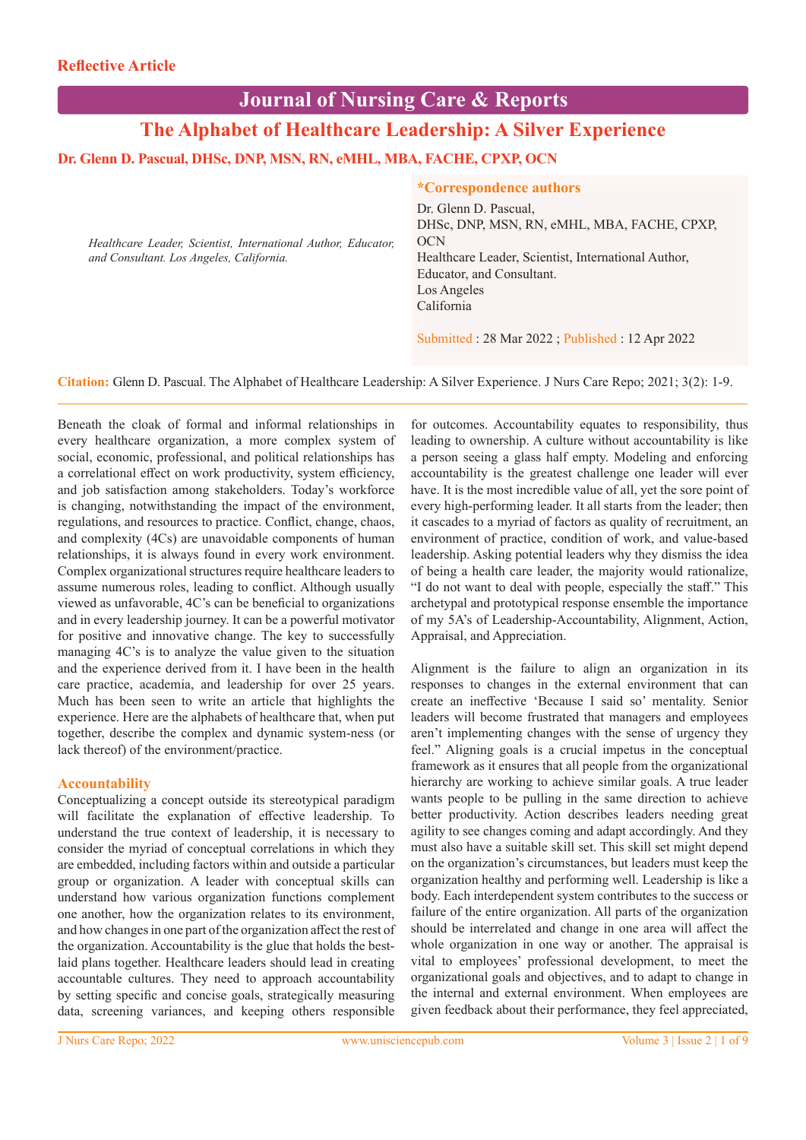# **The Alphabet of Healthcare Leadership: A Silver Experience Journal of Nursing Care & Reports**

# **Dr. Glenn D. Pascual, DHSc, DNP, MSN, RN, eMHL, MBA, FACHE, CPXP, OCN**

Dr. Glenn D. Pascual, DHSc, DNP, MSN, RN, eMHL, MBA, FACHE, CPXP, **OCN** Healthcare Leader, Scientist, International Author, Educator, and Consultant. Los Angeles California *Healthcare Leader, Scientist, International Author, Educator, and Consultant. Los Angeles, California.*

Submitted : 28 Mar 2022 ; Published : 12 Apr 2022

**\*Correspondence authors**

**Citation:** Glenn D. Pascual. The Alphabet of Healthcare Leadership: A Silver Experience. J Nurs Care Repo; 2021; 3(2): 1-9.

Beneath the cloak of formal and informal relationships in every healthcare organization, a more complex system of social, economic, professional, and political relationships has a correlational effect on work productivity, system efficiency, and job satisfaction among stakeholders. Today's workforce is changing, notwithstanding the impact of the environment, regulations, and resources to practice. Conflict, change, chaos, and complexity (4Cs) are unavoidable components of human relationships, it is always found in every work environment. Complex organizational structures require healthcare leaders to assume numerous roles, leading to conflict. Although usually viewed as unfavorable, 4C's can be beneficial to organizations and in every leadership journey. It can be a powerful motivator for positive and innovative change. The key to successfully managing 4C's is to analyze the value given to the situation and the experience derived from it. I have been in the health care practice, academia, and leadership for over 25 years. Much has been seen to write an article that highlights the experience. Here are the alphabets of healthcare that, when put together, describe the complex and dynamic system-ness (or lack thereof) of the environment/practice.

# **Accountability**

Conceptualizing a concept outside its stereotypical paradigm will facilitate the explanation of effective leadership. To understand the true context of leadership, it is necessary to consider the myriad of conceptual correlations in which they are embedded, including factors within and outside a particular group or organization. A leader with conceptual skills can understand how various organization functions complement one another, how the organization relates to its environment, and how changes in one part of the organization affect the rest of the organization. Accountability is the glue that holds the bestlaid plans together. Healthcare leaders should lead in creating accountable cultures. They need to approach accountability by setting specific and concise goals, strategically measuring data, screening variances, and keeping others responsible for outcomes. Accountability equates to responsibility, thus leading to ownership. A culture without accountability is like a person seeing a glass half empty. Modeling and enforcing accountability is the greatest challenge one leader will ever have. It is the most incredible value of all, yet the sore point of every high-performing leader. It all starts from the leader; then it cascades to a myriad of factors as quality of recruitment, an environment of practice, condition of work, and value-based leadership. Asking potential leaders why they dismiss the idea of being a health care leader, the majority would rationalize, "I do not want to deal with people, especially the staff." This archetypal and prototypical response ensemble the importance of my 5A's of Leadership-Accountability, Alignment, Action, Appraisal, and Appreciation.

Alignment is the failure to align an organization in its responses to changes in the external environment that can create an ineffective 'Because I said so' mentality. Senior leaders will become frustrated that managers and employees aren't implementing changes with the sense of urgency they feel." Aligning goals is a crucial impetus in the conceptual framework as it ensures that all people from the organizational hierarchy are working to achieve similar goals. A true leader wants people to be pulling in the same direction to achieve better productivity. Action describes leaders needing great agility to see changes coming and adapt accordingly. And they must also have a suitable skill set. This skill set might depend on the organization's circumstances, but leaders must keep the organization healthy and performing well. Leadership is like a body. Each interdependent system contributes to the success or failure of the entire organization. All parts of the organization should be interrelated and change in one area will affect the whole organization in one way or another. The appraisal is vital to employees' professional development, to meet the organizational goals and objectives, and to adapt to change in the internal and external environment. When employees are given feedback about their performance, they feel appreciated,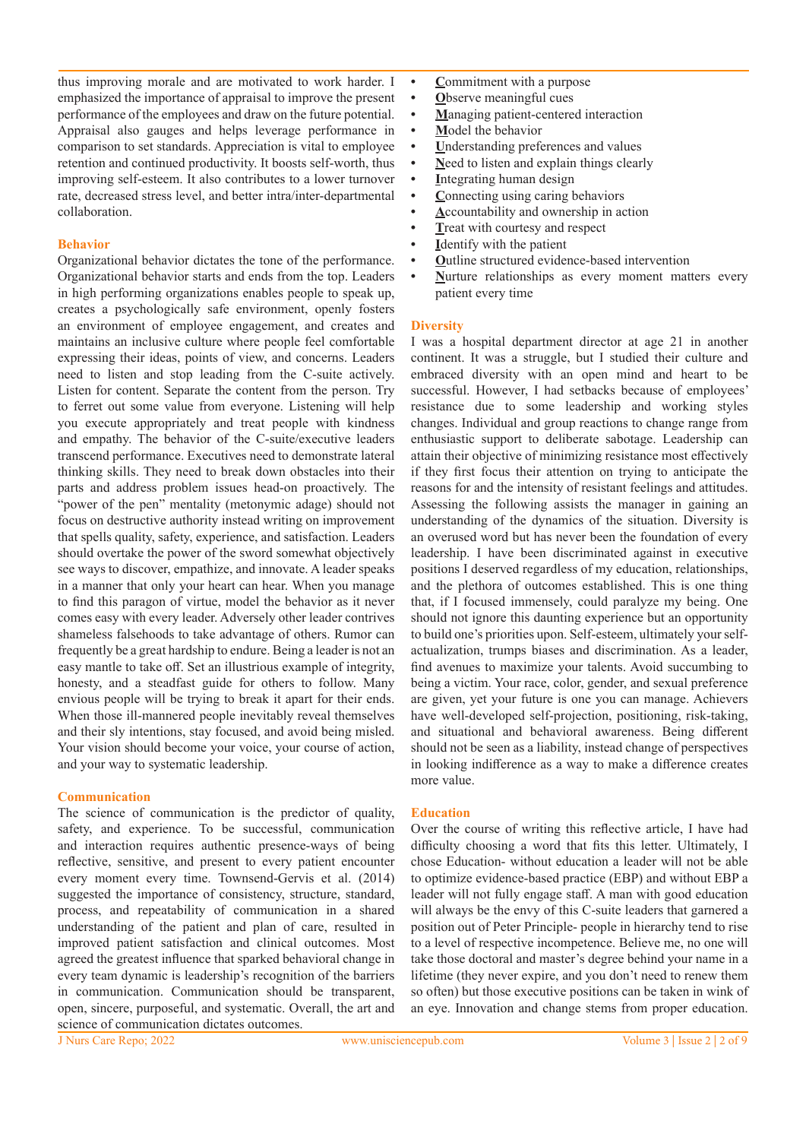thus improving morale and are motivated to work harder. I emphasized the importance of appraisal to improve the present performance of the employees and draw on the future potential. Appraisal also gauges and helps leverage performance in comparison to set standards. Appreciation is vital to employee retention and continued productivity. It boosts self-worth, thus improving self-esteem. It also contributes to a lower turnover rate, decreased stress level, and better intra/inter-departmental collaboration.

#### **Behavior**

Organizational behavior dictates the tone of the performance. Organizational behavior starts and ends from the top. Leaders in high performing organizations enables people to speak up, creates a psychologically safe environment, openly fosters an environment of employee engagement, and creates and maintains an inclusive culture where people feel comfortable expressing their ideas, points of view, and concerns. Leaders need to listen and stop leading from the C-suite actively. Listen for content. Separate the content from the person. Try to ferret out some value from everyone. Listening will help you execute appropriately and treat people with kindness and empathy. The behavior of the C-suite/executive leaders transcend performance. Executives need to demonstrate lateral thinking skills. They need to break down obstacles into their parts and address problem issues head-on proactively. The "power of the pen" mentality (metonymic adage) should not focus on destructive authority instead writing on improvement that spells quality, safety, experience, and satisfaction. Leaders should overtake the power of the sword somewhat objectively see ways to discover, empathize, and innovate. A leader speaks in a manner that only your heart can hear. When you manage to find this paragon of virtue, model the behavior as it never comes easy with every leader. Adversely other leader contrives shameless falsehoods to take advantage of others. Rumor can frequently be a great hardship to endure. Being a leader is not an easy mantle to take off. Set an illustrious example of integrity, honesty, and a steadfast guide for others to follow. Many envious people will be trying to break it apart for their ends. When those ill-mannered people inevitably reveal themselves and their sly intentions, stay focused, and avoid being misled. Your vision should become your voice, your course of action, and your way to systematic leadership.

#### **Communication**

The science of communication is the predictor of quality, safety, and experience. To be successful, communication and interaction requires authentic presence-ways of being reflective, sensitive, and present to every patient encounter every moment every time. Townsend-Gervis et al. (2014) suggested the importance of consistency, structure, standard, process, and repeatability of communication in a shared understanding of the patient and plan of care, resulted in improved patient satisfaction and clinical outcomes. Most agreed the greatest influence that sparked behavioral change in every team dynamic is leadership's recognition of the barriers in communication. Communication should be transparent, open, sincere, purposeful, and systematic. Overall, the art and science of communication dictates outcomes.

**• C**ommitment with a purpose

- **• O**bserve meaningful cues
- **• M**anaging patient-centered interaction
- **• M**odel the behavior
- **• U**nderstanding preferences and values
- **• N**eed to listen and explain things clearly
- **• I**ntegrating human design
- **• C**onnecting using caring behaviors
- **• A**ccountability and ownership in action
- **• T**reat with courtesy and respect
- **• I**dentify with the patient
- **• O**utline structured evidence-based intervention
- **• N**urture relationships as every moment matters every patient every time

#### **Diversity**

I was a hospital department director at age 21 in another continent. It was a struggle, but I studied their culture and embraced diversity with an open mind and heart to be successful. However, I had setbacks because of employees' resistance due to some leadership and working styles changes. Individual and group reactions to change range from enthusiastic support to deliberate sabotage. Leadership can attain their objective of minimizing resistance most effectively if they first focus their attention on trying to anticipate the reasons for and the intensity of resistant feelings and attitudes. Assessing the following assists the manager in gaining an understanding of the dynamics of the situation. Diversity is an overused word but has never been the foundation of every leadership. I have been discriminated against in executive positions I deserved regardless of my education, relationships, and the plethora of outcomes established. This is one thing that, if I focused immensely, could paralyze my being. One should not ignore this daunting experience but an opportunity to build one's priorities upon. Self-esteem, ultimately your selfactualization, trumps biases and discrimination. As a leader, find avenues to maximize your talents. Avoid succumbing to being a victim. Your race, color, gender, and sexual preference are given, yet your future is one you can manage. Achievers have well-developed self-projection, positioning, risk-taking, and situational and behavioral awareness. Being different should not be seen as a liability, instead change of perspectives in looking indifference as a way to make a difference creates more value.

#### **Education**

Over the course of writing this reflective article, I have had difficulty choosing a word that fits this letter. Ultimately, I chose Education- without education a leader will not be able to optimize evidence-based practice (EBP) and without EBP a leader will not fully engage staff. A man with good education will always be the envy of this C-suite leaders that garnered a position out of Peter Principle- people in hierarchy tend to rise to a level of respective incompetence. Believe me, no one will take those doctoral and master's degree behind your name in a lifetime (they never expire, and you don't need to renew them so often) but those executive positions can be taken in wink of an eye. Innovation and change stems from proper education.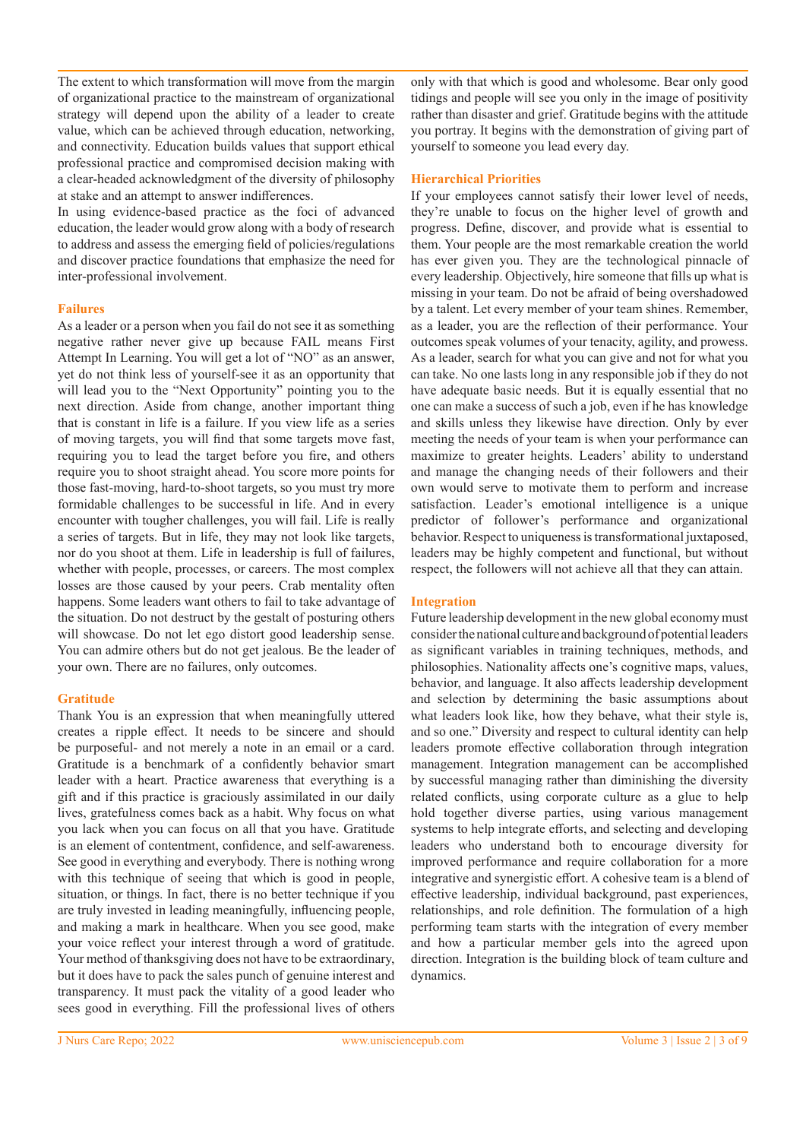The extent to which transformation will move from the margin of organizational practice to the mainstream of organizational strategy will depend upon the ability of a leader to create value, which can be achieved through education, networking, and connectivity. Education builds values that support ethical professional practice and compromised decision making with a clear-headed acknowledgment of the diversity of philosophy at stake and an attempt to answer indifferences.

In using evidence-based practice as the foci of advanced education, the leader would grow along with a body of research to address and assess the emerging field of policies/regulations and discover practice foundations that emphasize the need for inter-professional involvement.

## **Failures**

As a leader or a person when you fail do not see it as something negative rather never give up because FAIL means First Attempt In Learning. You will get a lot of "NO" as an answer, yet do not think less of yourself-see it as an opportunity that will lead you to the "Next Opportunity" pointing you to the next direction. Aside from change, another important thing that is constant in life is a failure. If you view life as a series of moving targets, you will find that some targets move fast, requiring you to lead the target before you fire, and others require you to shoot straight ahead. You score more points for those fast-moving, hard-to-shoot targets, so you must try more formidable challenges to be successful in life. And in every encounter with tougher challenges, you will fail. Life is really a series of targets. But in life, they may not look like targets, nor do you shoot at them. Life in leadership is full of failures, whether with people, processes, or careers. The most complex losses are those caused by your peers. Crab mentality often happens. Some leaders want others to fail to take advantage of the situation. Do not destruct by the gestalt of posturing others will showcase. Do not let ego distort good leadership sense. You can admire others but do not get jealous. Be the leader of your own. There are no failures, only outcomes.

## **Gratitude**

Thank You is an expression that when meaningfully uttered creates a ripple effect. It needs to be sincere and should be purposeful- and not merely a note in an email or a card. Gratitude is a benchmark of a confidently behavior smart leader with a heart. Practice awareness that everything is a gift and if this practice is graciously assimilated in our daily lives, gratefulness comes back as a habit. Why focus on what you lack when you can focus on all that you have. Gratitude is an element of contentment, confidence, and self-awareness. See good in everything and everybody. There is nothing wrong with this technique of seeing that which is good in people, situation, or things. In fact, there is no better technique if you are truly invested in leading meaningfully, influencing people, and making a mark in healthcare. When you see good, make your voice reflect your interest through a word of gratitude. Your method of thanksgiving does not have to be extraordinary, but it does have to pack the sales punch of genuine interest and transparency. It must pack the vitality of a good leader who sees good in everything. Fill the professional lives of others

only with that which is good and wholesome. Bear only good tidings and people will see you only in the image of positivity rather than disaster and grief. Gratitude begins with the attitude you portray. It begins with the demonstration of giving part of yourself to someone you lead every day.

## **Hierarchical Priorities**

If your employees cannot satisfy their lower level of needs, they're unable to focus on the higher level of growth and progress. Define, discover, and provide what is essential to them. Your people are the most remarkable creation the world has ever given you. They are the technological pinnacle of every leadership. Objectively, hire someone that fills up what is missing in your team. Do not be afraid of being overshadowed by a talent. Let every member of your team shines. Remember, as a leader, you are the reflection of their performance. Your outcomes speak volumes of your tenacity, agility, and prowess. As a leader, search for what you can give and not for what you can take. No one lasts long in any responsible job if they do not have adequate basic needs. But it is equally essential that no one can make a success of such a job, even if he has knowledge and skills unless they likewise have direction. Only by ever meeting the needs of your team is when your performance can maximize to greater heights. Leaders' ability to understand and manage the changing needs of their followers and their own would serve to motivate them to perform and increase satisfaction. Leader's emotional intelligence is a unique predictor of follower's performance and organizational behavior. Respect to uniqueness is transformational juxtaposed, leaders may be highly competent and functional, but without respect, the followers will not achieve all that they can attain.

#### **Integration**

Future leadership development in the new global economy must consider the national culture and background of potential leaders as significant variables in training techniques, methods, and philosophies. Nationality affects one's cognitive maps, values, behavior, and language. It also affects leadership development and selection by determining the basic assumptions about what leaders look like, how they behave, what their style is, and so one." Diversity and respect to cultural identity can help leaders promote effective collaboration through integration management. Integration management can be accomplished by successful managing rather than diminishing the diversity related conflicts, using corporate culture as a glue to help hold together diverse parties, using various management systems to help integrate efforts, and selecting and developing leaders who understand both to encourage diversity for improved performance and require collaboration for a more integrative and synergistic effort. A cohesive team is a blend of effective leadership, individual background, past experiences, relationships, and role definition. The formulation of a high performing team starts with the integration of every member and how a particular member gels into the agreed upon direction. Integration is the building block of team culture and dynamics.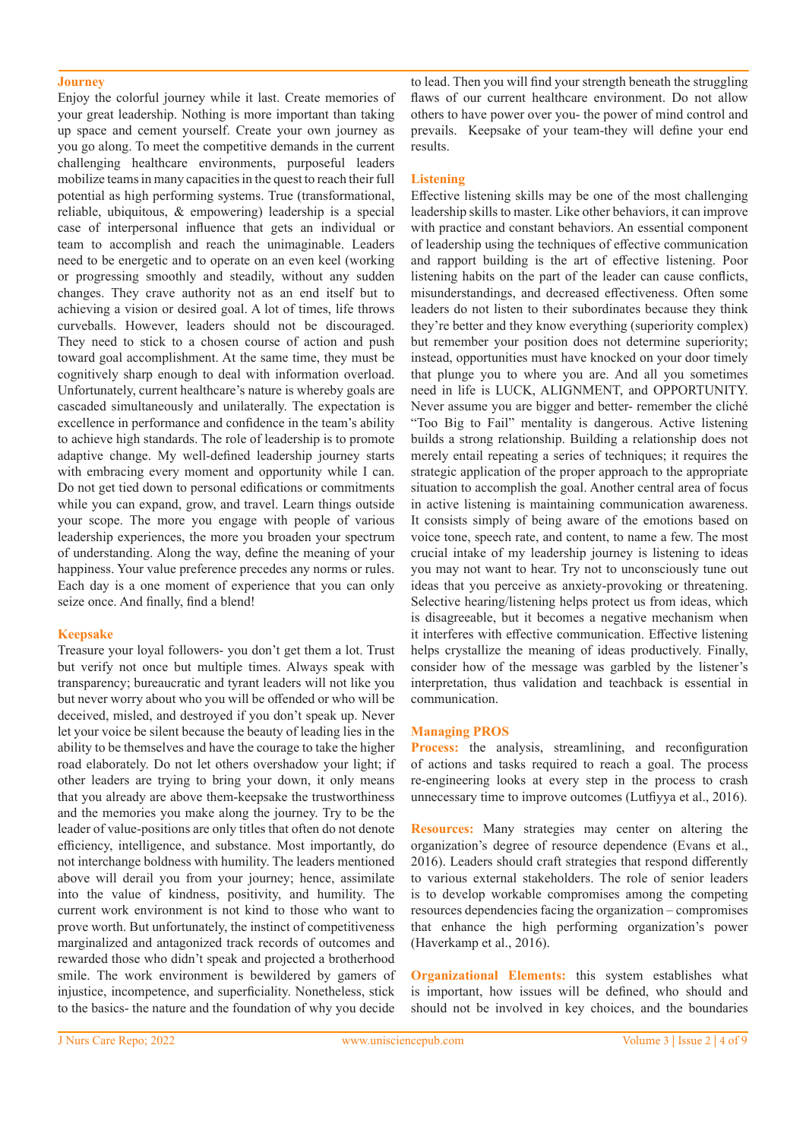#### **Journey**

Enjoy the colorful journey while it last. Create memories of your great leadership. Nothing is more important than taking up space and cement yourself. Create your own journey as you go along. To meet the competitive demands in the current challenging healthcare environments, purposeful leaders mobilize teams in many capacities in the quest to reach their full potential as high performing systems. True (transformational, reliable, ubiquitous, & empowering) leadership is a special case of interpersonal influence that gets an individual or team to accomplish and reach the unimaginable. Leaders need to be energetic and to operate on an even keel (working or progressing smoothly and steadily, without any sudden changes. They crave authority not as an end itself but to achieving a vision or desired goal. A lot of times, life throws curveballs. However, leaders should not be discouraged. They need to stick to a chosen course of action and push toward goal accomplishment. At the same time, they must be cognitively sharp enough to deal with information overload. Unfortunately, current healthcare's nature is whereby goals are cascaded simultaneously and unilaterally. The expectation is excellence in performance and confidence in the team's ability to achieve high standards. The role of leadership is to promote adaptive change. My well-defined leadership journey starts with embracing every moment and opportunity while I can. Do not get tied down to personal edifications or commitments while you can expand, grow, and travel. Learn things outside your scope. The more you engage with people of various leadership experiences, the more you broaden your spectrum of understanding. Along the way, define the meaning of your happiness. Your value preference precedes any norms or rules. Each day is a one moment of experience that you can only seize once. And finally, find a blend!

#### **Keepsake**

Treasure your loyal followers- you don't get them a lot. Trust but verify not once but multiple times. Always speak with transparency; bureaucratic and tyrant leaders will not like you but never worry about who you will be offended or who will be deceived, misled, and destroyed if you don't speak up. Never let your voice be silent because the beauty of leading lies in the ability to be themselves and have the courage to take the higher road elaborately. Do not let others overshadow your light; if other leaders are trying to bring your down, it only means that you already are above them-keepsake the trustworthiness and the memories you make along the journey. Try to be the leader of value-positions are only titles that often do not denote efficiency, intelligence, and substance. Most importantly, do not interchange boldness with humility. The leaders mentioned above will derail you from your journey; hence, assimilate into the value of kindness, positivity, and humility. The current work environment is not kind to those who want to prove worth. But unfortunately, the instinct of competitiveness marginalized and antagonized track records of outcomes and rewarded those who didn't speak and projected a brotherhood smile. The work environment is bewildered by gamers of injustice, incompetence, and superficiality. Nonetheless, stick to the basics- the nature and the foundation of why you decide

to lead. Then you will find your strength beneath the struggling flaws of our current healthcare environment. Do not allow others to have power over you- the power of mind control and prevails. Keepsake of your team-they will define your end results.

#### **Listening**

Effective listening skills may be one of the most challenging leadership skills to master. Like other behaviors, it can improve with practice and constant behaviors. An essential component of leadership using the techniques of effective communication and rapport building is the art of effective listening. Poor listening habits on the part of the leader can cause conflicts, misunderstandings, and decreased effectiveness. Often some leaders do not listen to their subordinates because they think they're better and they know everything (superiority complex) but remember your position does not determine superiority; instead, opportunities must have knocked on your door timely that plunge you to where you are. And all you sometimes need in life is LUCK, ALIGNMENT, and OPPORTUNITY. Never assume you are bigger and better- remember the cliché "Too Big to Fail" mentality is dangerous. Active listening builds a strong relationship. Building a relationship does not merely entail repeating a series of techniques; it requires the strategic application of the proper approach to the appropriate situation to accomplish the goal. Another central area of focus in active listening is maintaining communication awareness. It consists simply of being aware of the emotions based on voice tone, speech rate, and content, to name a few. The most crucial intake of my leadership journey is listening to ideas you may not want to hear. Try not to unconsciously tune out ideas that you perceive as anxiety-provoking or threatening. Selective hearing/listening helps protect us from ideas, which is disagreeable, but it becomes a negative mechanism when it interferes with effective communication. Effective listening helps crystallize the meaning of ideas productively. Finally, consider how of the message was garbled by the listener's interpretation, thus validation and teachback is essential in communication.

#### **Managing PROS**

**Process:** the analysis, streamlining, and reconfiguration of actions and tasks required to reach a goal. The process re-engineering looks at every step in the process to crash unnecessary time to improve outcomes (Lutfiyya et al., 2016).

**Resources:** Many strategies may center on altering the organization's degree of resource dependence (Evans et al., 2016). Leaders should craft strategies that respond differently to various external stakeholders. The role of senior leaders is to develop workable compromises among the competing resources dependencies facing the organization – compromises that enhance the high performing organization's power (Haverkamp et al., 2016).

**Organizational Elements:** this system establishes what is important, how issues will be defined, who should and should not be involved in key choices, and the boundaries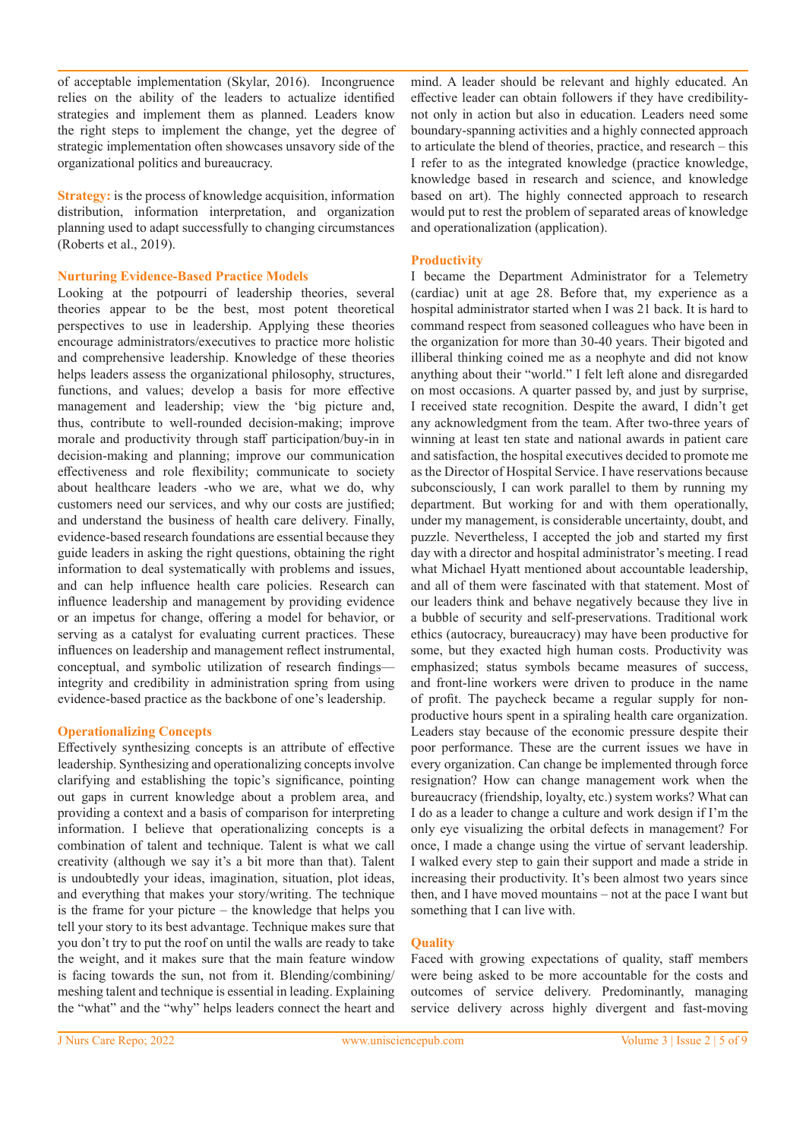of acceptable implementation (Skylar, 2016). Incongruence relies on the ability of the leaders to actualize identified strategies and implement them as planned. Leaders know the right steps to implement the change, yet the degree of strategic implementation often showcases unsavory side of the organizational politics and bureaucracy.

**Strategy:** is the process of knowledge acquisition, information distribution, information interpretation, and organization planning used to adapt successfully to changing circumstances (Roberts et al., 2019).

#### **Nurturing Evidence-Based Practice Models**

Looking at the potpourri of leadership theories, several theories appear to be the best, most potent theoretical perspectives to use in leadership. Applying these theories encourage administrators/executives to practice more holistic and comprehensive leadership. Knowledge of these theories helps leaders assess the organizational philosophy, structures, functions, and values; develop a basis for more effective management and leadership; view the 'big picture and, thus, contribute to well-rounded decision-making; improve morale and productivity through staff participation/buy-in in decision-making and planning; improve our communication effectiveness and role flexibility; communicate to society about healthcare leaders -who we are, what we do, why customers need our services, and why our costs are justified; and understand the business of health care delivery. Finally, evidence-based research foundations are essential because they guide leaders in asking the right questions, obtaining the right information to deal systematically with problems and issues, and can help influence health care policies. Research can influence leadership and management by providing evidence or an impetus for change, offering a model for behavior, or serving as a catalyst for evaluating current practices. These influences on leadership and management reflect instrumental, conceptual, and symbolic utilization of research findings integrity and credibility in administration spring from using evidence-based practice as the backbone of one's leadership.

#### **Operationalizing Concepts**

Effectively synthesizing concepts is an attribute of effective leadership. Synthesizing and operationalizing concepts involve clarifying and establishing the topic's significance, pointing out gaps in current knowledge about a problem area, and providing a context and a basis of comparison for interpreting information. I believe that operationalizing concepts is a combination of talent and technique. Talent is what we call creativity (although we say it's a bit more than that). Talent is undoubtedly your ideas, imagination, situation, plot ideas, and everything that makes your story/writing. The technique is the frame for your picture – the knowledge that helps you tell your story to its best advantage. Technique makes sure that you don't try to put the roof on until the walls are ready to take the weight, and it makes sure that the main feature window is facing towards the sun, not from it. Blending/combining/ meshing talent and technique is essential in leading. Explaining the "what" and the "why" helps leaders connect the heart and mind. A leader should be relevant and highly educated. An effective leader can obtain followers if they have credibilitynot only in action but also in education. Leaders need some boundary-spanning activities and a highly connected approach to articulate the blend of theories, practice, and research – this I refer to as the integrated knowledge (practice knowledge, knowledge based in research and science, and knowledge based on art). The highly connected approach to research would put to rest the problem of separated areas of knowledge and operationalization (application).

## **Productivity**

I became the Department Administrator for a Telemetry (cardiac) unit at age 28. Before that, my experience as a hospital administrator started when I was 21 back. It is hard to command respect from seasoned colleagues who have been in the organization for more than 30-40 years. Their bigoted and illiberal thinking coined me as a neophyte and did not know anything about their "world." I felt left alone and disregarded on most occasions. A quarter passed by, and just by surprise, I received state recognition. Despite the award, I didn't get any acknowledgment from the team. After two-three years of winning at least ten state and national awards in patient care and satisfaction, the hospital executives decided to promote me as the Director of Hospital Service. I have reservations because subconsciously, I can work parallel to them by running my department. But working for and with them operationally, under my management, is considerable uncertainty, doubt, and puzzle. Nevertheless, I accepted the job and started my first day with a director and hospital administrator's meeting. I read what Michael Hyatt mentioned about accountable leadership, and all of them were fascinated with that statement. Most of our leaders think and behave negatively because they live in a bubble of security and self-preservations. Traditional work ethics (autocracy, bureaucracy) may have been productive for some, but they exacted high human costs. Productivity was emphasized; status symbols became measures of success, and front-line workers were driven to produce in the name of profit. The paycheck became a regular supply for nonproductive hours spent in a spiraling health care organization. Leaders stay because of the economic pressure despite their poor performance. These are the current issues we have in every organization. Can change be implemented through force resignation? How can change management work when the bureaucracy (friendship, loyalty, etc.) system works? What can I do as a leader to change a culture and work design if I'm the only eye visualizing the orbital defects in management? For once, I made a change using the virtue of servant leadership. I walked every step to gain their support and made a stride in increasing their productivity. It's been almost two years since then, and I have moved mountains – not at the pace I want but something that I can live with.

#### **Quality**

Faced with growing expectations of quality, staff members were being asked to be more accountable for the costs and outcomes of service delivery. Predominantly, managing service delivery across highly divergent and fast-moving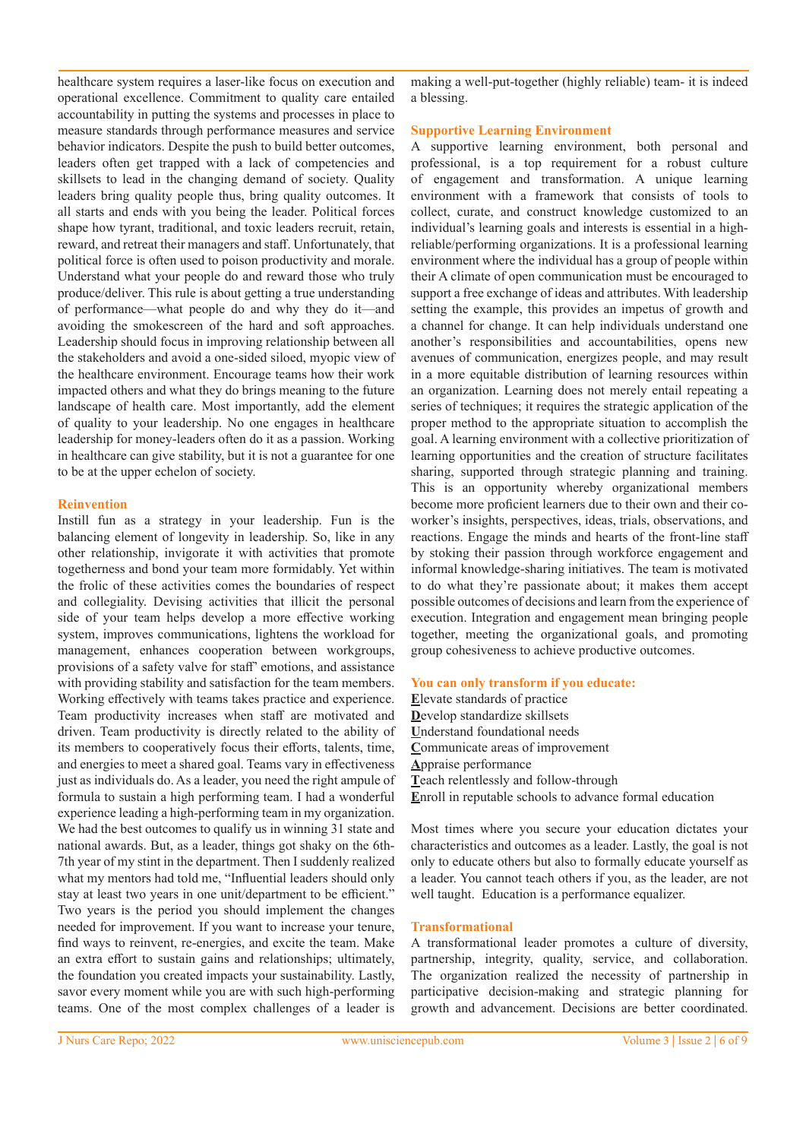healthcare system requires a laser-like focus on execution and operational excellence. Commitment to quality care entailed accountability in putting the systems and processes in place to measure standards through performance measures and service behavior indicators. Despite the push to build better outcomes, leaders often get trapped with a lack of competencies and skillsets to lead in the changing demand of society. Quality leaders bring quality people thus, bring quality outcomes. It all starts and ends with you being the leader. Political forces shape how tyrant, traditional, and toxic leaders recruit, retain, reward, and retreat their managers and staff. Unfortunately, that political force is often used to poison productivity and morale. Understand what your people do and reward those who truly produce/deliver. This rule is about getting a true understanding of performance—what people do and why they do it—and avoiding the smokescreen of the hard and soft approaches. Leadership should focus in improving relationship between all the stakeholders and avoid a one-sided siloed, myopic view of the healthcare environment. Encourage teams how their work impacted others and what they do brings meaning to the future landscape of health care. Most importantly, add the element of quality to your leadership. No one engages in healthcare leadership for money-leaders often do it as a passion. Working in healthcare can give stability, but it is not a guarantee for one to be at the upper echelon of society.

## **Reinvention**

Instill fun as a strategy in your leadership. Fun is the balancing element of longevity in leadership. So, like in any other relationship, invigorate it with activities that promote togetherness and bond your team more formidably. Yet within the frolic of these activities comes the boundaries of respect and collegiality. Devising activities that illicit the personal side of your team helps develop a more effective working system, improves communications, lightens the workload for management, enhances cooperation between workgroups, provisions of a safety valve for staff' emotions, and assistance with providing stability and satisfaction for the team members. Working effectively with teams takes practice and experience. Team productivity increases when staff are motivated and driven. Team productivity is directly related to the ability of its members to cooperatively focus their efforts, talents, time, and energies to meet a shared goal. Teams vary in effectiveness just as individuals do. As a leader, you need the right ampule of formula to sustain a high performing team. I had a wonderful experience leading a high-performing team in my organization. We had the best outcomes to qualify us in winning 31 state and national awards. But, as a leader, things got shaky on the 6th-7th year of my stint in the department. Then I suddenly realized what my mentors had told me, "Influential leaders should only stay at least two years in one unit/department to be efficient." Two years is the period you should implement the changes needed for improvement. If you want to increase your tenure, find ways to reinvent, re-energies, and excite the team. Make an extra effort to sustain gains and relationships; ultimately, the foundation you created impacts your sustainability. Lastly, savor every moment while you are with such high-performing teams. One of the most complex challenges of a leader is

making a well-put-together (highly reliable) team- it is indeed a blessing.

## **Supportive Learning Environment**

A supportive learning environment, both personal and professional, is a top requirement for a robust culture of engagement and transformation. A unique learning environment with a framework that consists of tools to collect, curate, and construct knowledge customized to an individual's learning goals and interests is essential in a highreliable/performing organizations. It is a professional learning environment where the individual has a group of people within their A climate of open communication must be encouraged to support a free exchange of ideas and attributes. With leadership setting the example, this provides an impetus of growth and a channel for change. It can help individuals understand one another's responsibilities and accountabilities, opens new avenues of communication, energizes people, and may result in a more equitable distribution of learning resources within an organization. Learning does not merely entail repeating a series of techniques; it requires the strategic application of the proper method to the appropriate situation to accomplish the goal. A learning environment with a collective prioritization of learning opportunities and the creation of structure facilitates sharing, supported through strategic planning and training. This is an opportunity whereby organizational members become more proficient learners due to their own and their coworker's insights, perspectives, ideas, trials, observations, and reactions. Engage the minds and hearts of the front-line staff by stoking their passion through workforce engagement and informal knowledge-sharing initiatives. The team is motivated to do what they're passionate about; it makes them accept possible outcomes of decisions and learn from the experience of execution. Integration and engagement mean bringing people together, meeting the organizational goals, and promoting group cohesiveness to achieve productive outcomes.

#### **You can only transform if you educate:**

**E**levate standards of practice **D**evelop standardize skillsets **U**nderstand foundational needs **C**ommunicate areas of improvement **A**ppraise performance **T**each relentlessly and follow-through **E**nroll in reputable schools to advance formal education

Most times where you secure your education dictates your characteristics and outcomes as a leader. Lastly, the goal is not only to educate others but also to formally educate yourself as a leader. You cannot teach others if you, as the leader, are not well taught. Education is a performance equalizer.

#### **Transformational**

A transformational leader promotes a culture of diversity, partnership, integrity, quality, service, and collaboration. The organization realized the necessity of partnership in participative decision-making and strategic planning for growth and advancement. Decisions are better coordinated.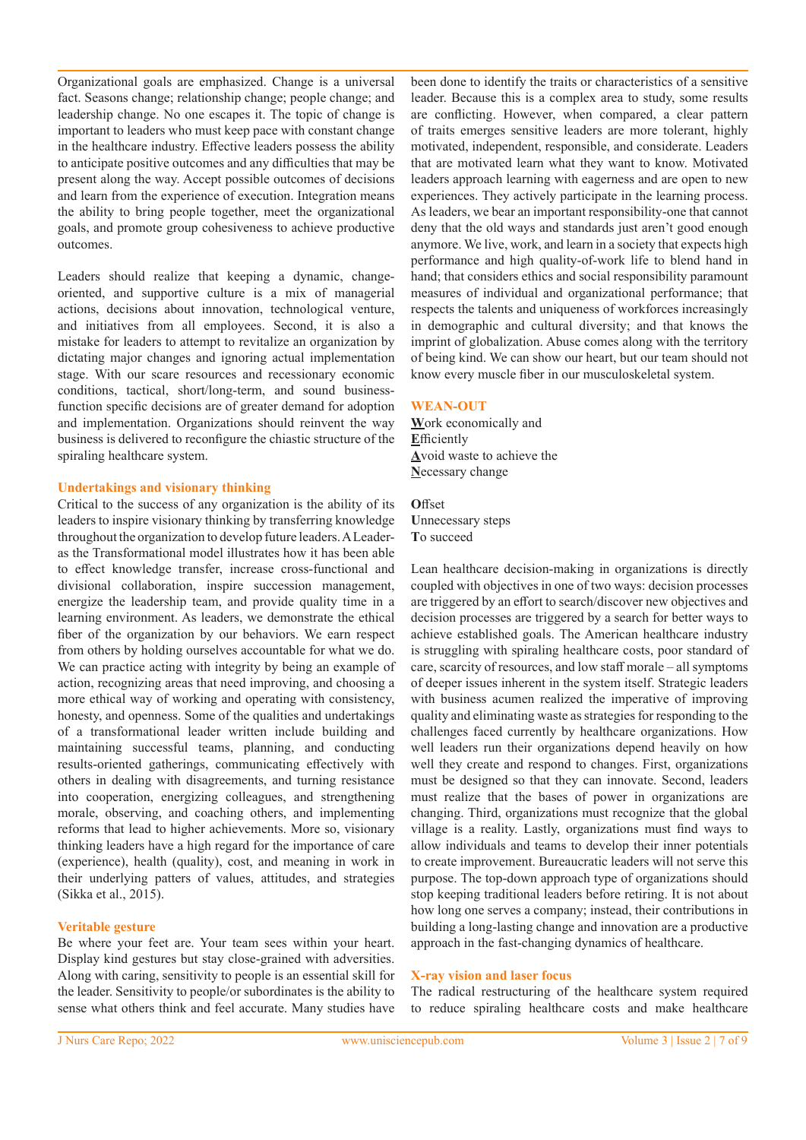Organizational goals are emphasized. Change is a universal fact. Seasons change; relationship change; people change; and leadership change. No one escapes it. The topic of change is important to leaders who must keep pace with constant change in the healthcare industry. Effective leaders possess the ability to anticipate positive outcomes and any difficulties that may be present along the way. Accept possible outcomes of decisions and learn from the experience of execution. Integration means the ability to bring people together, meet the organizational goals, and promote group cohesiveness to achieve productive outcomes.

Leaders should realize that keeping a dynamic, changeoriented, and supportive culture is a mix of managerial actions, decisions about innovation, technological venture, and initiatives from all employees. Second, it is also a mistake for leaders to attempt to revitalize an organization by dictating major changes and ignoring actual implementation stage. With our scare resources and recessionary economic conditions, tactical, short/long-term, and sound businessfunction specific decisions are of greater demand for adoption and implementation. Organizations should reinvent the way business is delivered to reconfigure the chiastic structure of the spiraling healthcare system.

## **Undertakings and visionary thinking**

Critical to the success of any organization is the ability of its leaders to inspire visionary thinking by transferring knowledge throughout the organization to develop future leaders. A Leaderas the Transformational model illustrates how it has been able to effect knowledge transfer, increase cross-functional and divisional collaboration, inspire succession management, energize the leadership team, and provide quality time in a learning environment. As leaders, we demonstrate the ethical fiber of the organization by our behaviors. We earn respect from others by holding ourselves accountable for what we do. We can practice acting with integrity by being an example of action, recognizing areas that need improving, and choosing a more ethical way of working and operating with consistency, honesty, and openness. Some of the qualities and undertakings of a transformational leader written include building and maintaining successful teams, planning, and conducting results-oriented gatherings, communicating effectively with others in dealing with disagreements, and turning resistance into cooperation, energizing colleagues, and strengthening morale, observing, and coaching others, and implementing reforms that lead to higher achievements. More so, visionary thinking leaders have a high regard for the importance of care (experience), health (quality), cost, and meaning in work in their underlying patters of values, attitudes, and strategies (Sikka et al., 2015).

#### **Veritable gesture**

Be where your feet are. Your team sees within your heart. Display kind gestures but stay close-grained with adversities. Along with caring, sensitivity to people is an essential skill for the leader. Sensitivity to people/or subordinates is the ability to sense what others think and feel accurate. Many studies have

been done to identify the traits or characteristics of a sensitive leader. Because this is a complex area to study, some results are conflicting. However, when compared, a clear pattern of traits emerges sensitive leaders are more tolerant, highly motivated, independent, responsible, and considerate. Leaders that are motivated learn what they want to know. Motivated leaders approach learning with eagerness and are open to new experiences. They actively participate in the learning process. As leaders, we bear an important responsibility-one that cannot deny that the old ways and standards just aren't good enough anymore. We live, work, and learn in a society that expects high performance and high quality-of-work life to blend hand in hand; that considers ethics and social responsibility paramount measures of individual and organizational performance; that respects the talents and uniqueness of workforces increasingly in demographic and cultural diversity; and that knows the imprint of globalization. Abuse comes along with the territory of being kind. We can show our heart, but our team should not know every muscle fiber in our musculoskeletal system.

## **WEAN-OUT**

**W**ork economically and **E**fficiently **A**void waste to achieve the **N**ecessary change

#### **O**ffset

**U**nnecessary steps **T**o succeed

Lean healthcare decision-making in organizations is directly coupled with objectives in one of two ways: decision processes are triggered by an effort to search/discover new objectives and decision processes are triggered by a search for better ways to achieve established goals. The American healthcare industry is struggling with spiraling healthcare costs, poor standard of care, scarcity of resources, and low staff morale – all symptoms of deeper issues inherent in the system itself. Strategic leaders with business acumen realized the imperative of improving quality and eliminating waste as strategies for responding to the challenges faced currently by healthcare organizations. How well leaders run their organizations depend heavily on how well they create and respond to changes. First, organizations must be designed so that they can innovate. Second, leaders must realize that the bases of power in organizations are changing. Third, organizations must recognize that the global village is a reality. Lastly, organizations must find ways to allow individuals and teams to develop their inner potentials to create improvement. Bureaucratic leaders will not serve this purpose. The top-down approach type of organizations should stop keeping traditional leaders before retiring. It is not about how long one serves a company; instead, their contributions in building a long-lasting change and innovation are a productive approach in the fast-changing dynamics of healthcare.

## **X-ray vision and laser focus**

The radical restructuring of the healthcare system required to reduce spiraling healthcare costs and make healthcare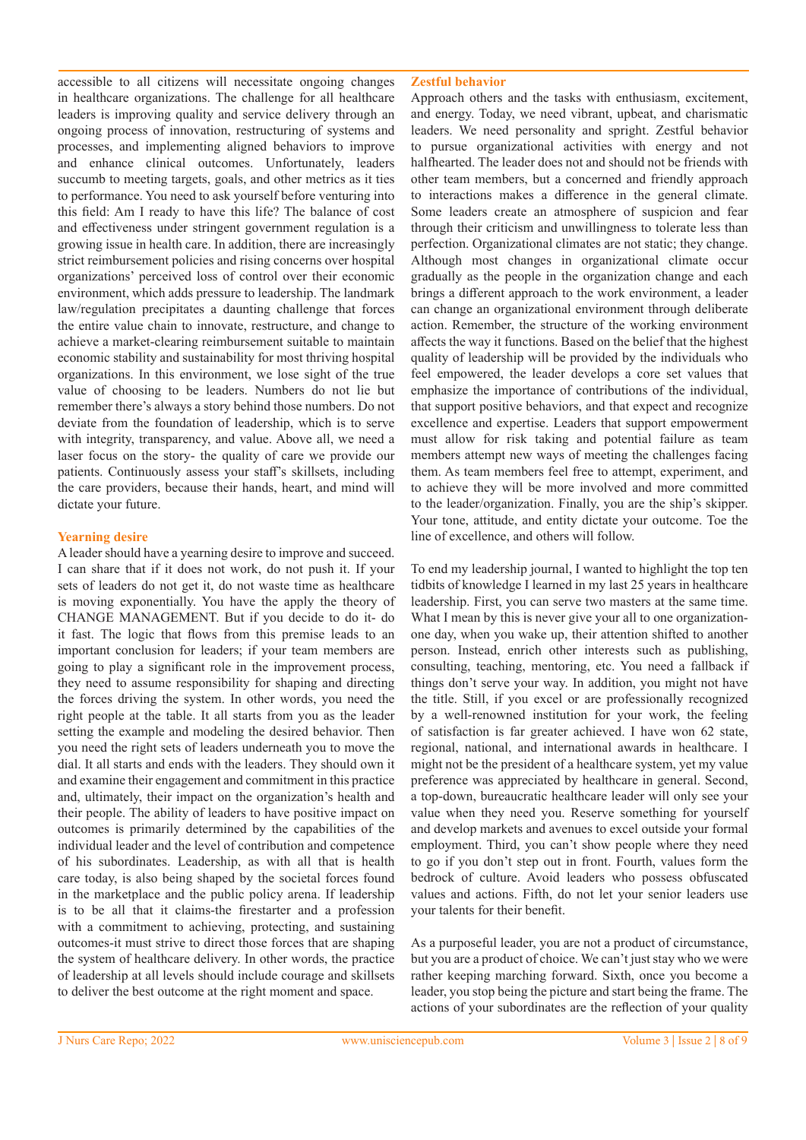accessible to all citizens will necessitate ongoing changes in healthcare organizations. The challenge for all healthcare leaders is improving quality and service delivery through an ongoing process of innovation, restructuring of systems and processes, and implementing aligned behaviors to improve and enhance clinical outcomes. Unfortunately, leaders succumb to meeting targets, goals, and other metrics as it ties to performance. You need to ask yourself before venturing into this field: Am I ready to have this life? The balance of cost and effectiveness under stringent government regulation is a growing issue in health care. In addition, there are increasingly strict reimbursement policies and rising concerns over hospital organizations' perceived loss of control over their economic environment, which adds pressure to leadership. The landmark law/regulation precipitates a daunting challenge that forces the entire value chain to innovate, restructure, and change to achieve a market-clearing reimbursement suitable to maintain economic stability and sustainability for most thriving hospital organizations. In this environment, we lose sight of the true value of choosing to be leaders. Numbers do not lie but remember there's always a story behind those numbers. Do not deviate from the foundation of leadership, which is to serve with integrity, transparency, and value. Above all, we need a laser focus on the story- the quality of care we provide our patients. Continuously assess your staff's skillsets, including the care providers, because their hands, heart, and mind will dictate your future.

## **Yearning desire**

A leader should have a yearning desire to improve and succeed. I can share that if it does not work, do not push it. If your sets of leaders do not get it, do not waste time as healthcare is moving exponentially. You have the apply the theory of CHANGE MANAGEMENT. But if you decide to do it- do it fast. The logic that flows from this premise leads to an important conclusion for leaders; if your team members are going to play a significant role in the improvement process, they need to assume responsibility for shaping and directing the forces driving the system. In other words, you need the right people at the table. It all starts from you as the leader setting the example and modeling the desired behavior. Then you need the right sets of leaders underneath you to move the dial. It all starts and ends with the leaders. They should own it and examine their engagement and commitment in this practice and, ultimately, their impact on the organization's health and their people. The ability of leaders to have positive impact on outcomes is primarily determined by the capabilities of the individual leader and the level of contribution and competence of his subordinates. Leadership, as with all that is health care today, is also being shaped by the societal forces found in the marketplace and the public policy arena. If leadership is to be all that it claims-the firestarter and a profession with a commitment to achieving, protecting, and sustaining outcomes-it must strive to direct those forces that are shaping the system of healthcare delivery. In other words, the practice of leadership at all levels should include courage and skillsets to deliver the best outcome at the right moment and space.

## **Zestful behavior**

Approach others and the tasks with enthusiasm, excitement, and energy. Today, we need vibrant, upbeat, and charismatic leaders. We need personality and spright. Zestful behavior to pursue organizational activities with energy and not halfhearted. The leader does not and should not be friends with other team members, but a concerned and friendly approach to interactions makes a difference in the general climate. Some leaders create an atmosphere of suspicion and fear through their criticism and unwillingness to tolerate less than perfection. Organizational climates are not static; they change. Although most changes in organizational climate occur gradually as the people in the organization change and each brings a different approach to the work environment, a leader can change an organizational environment through deliberate action. Remember, the structure of the working environment affects the way it functions. Based on the belief that the highest quality of leadership will be provided by the individuals who feel empowered, the leader develops a core set values that emphasize the importance of contributions of the individual, that support positive behaviors, and that expect and recognize excellence and expertise. Leaders that support empowerment must allow for risk taking and potential failure as team members attempt new ways of meeting the challenges facing them. As team members feel free to attempt, experiment, and to achieve they will be more involved and more committed to the leader/organization. Finally, you are the ship's skipper. Your tone, attitude, and entity dictate your outcome. Toe the line of excellence, and others will follow.

To end my leadership journal, I wanted to highlight the top ten tidbits of knowledge I learned in my last 25 years in healthcare leadership. First, you can serve two masters at the same time. What I mean by this is never give your all to one organizationone day, when you wake up, their attention shifted to another person. Instead, enrich other interests such as publishing, consulting, teaching, mentoring, etc. You need a fallback if things don't serve your way. In addition, you might not have the title. Still, if you excel or are professionally recognized by a well-renowned institution for your work, the feeling of satisfaction is far greater achieved. I have won 62 state, regional, national, and international awards in healthcare. I might not be the president of a healthcare system, yet my value preference was appreciated by healthcare in general. Second, a top-down, bureaucratic healthcare leader will only see your value when they need you. Reserve something for yourself and develop markets and avenues to excel outside your formal employment. Third, you can't show people where they need to go if you don't step out in front. Fourth, values form the bedrock of culture. Avoid leaders who possess obfuscated values and actions. Fifth, do not let your senior leaders use your talents for their benefit.

As a purposeful leader, you are not a product of circumstance, but you are a product of choice. We can't just stay who we were rather keeping marching forward. Sixth, once you become a leader, you stop being the picture and start being the frame. The actions of your subordinates are the reflection of your quality